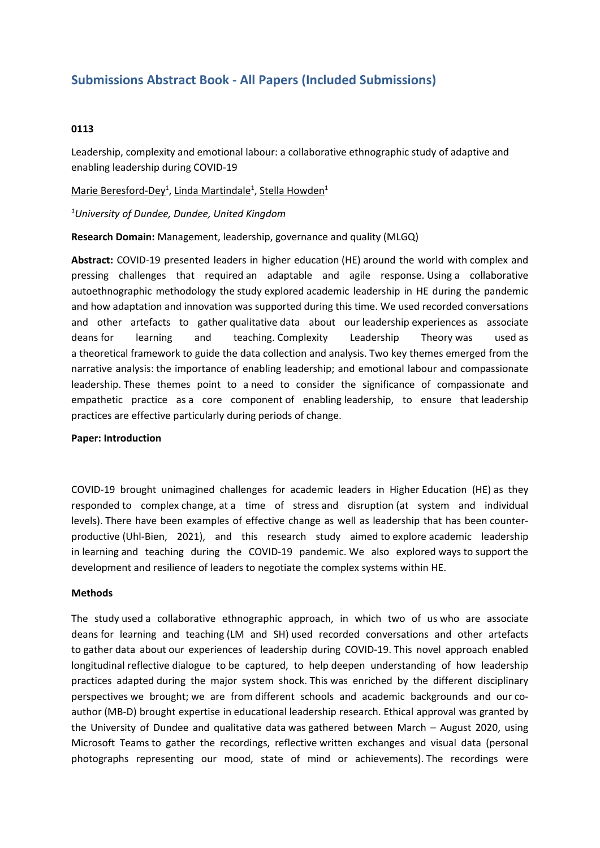# **Submissions Abstract Book - All Papers (Included Submissions)**

### **0113**

Leadership, complexity and emotional labour: <sup>a</sup> collaborative ethnographic study of adaptive and enabling leadership during COVID-19

Marie Beresford-Dey<sup>1</sup>, Linda Martindale<sup>1</sup>, Stella Howden<sup>1</sup>

*1 University of Dundee, Dundee, United Kingdom*

**Research Domain:** Management, leadership, governance and quality (MLGQ)

**Abstract:** COVID-19 presented leaders in higher education (HE) around the world with complex and pressing challenges that required an adaptable and agile response. Using a collaborative autoethnographic methodology the study explored academic leadership in HE during the pandemic and how adaptation and innovation was supported during this time. We used recorded conversations and other artefacts to gather qualitative data about our leadership experiences as associate deans for learning and teaching. Complexity Leadership Theory was used as a theoretical framework to guide the data collection and analysis. Two key themes emerged from the narrative analysis: the importance of enabling leadership; and emotional labour and compassionate leadership. These themes point to a need to consider the significance of compassionate and empathetic practice as a core component of enabling leadership, to ensure that leadership practices are effective particularly during periods of change.

#### **Paper: Introduction**

COVID-19 brought unimagined challenges for academic leaders in Higher Education (HE) as they responded to complex change, at a time of stress and disruption (at system and individual levels). There have been examples of effective change as well as leadership that has been counterproductive (Uhl-Bien, 2021), and this research study aimed to explore academic leadership in learning and teaching during the COVID-19 pandemic. We also explored ways to support the development and resilience of leaders to negotiate the complex systems within HE.

#### **Methods**

The study used a collaborative ethnographic approach, in which two of us who are associate deans for learning and teaching (LM and SH) used recorded conversations and other artefacts to gather data about our experiences of leadership during COVID-19. This novel approach enabled longitudinal reflective dialogue to be captured, to help deepen understanding of how leadership practices adapted during the major system shock. This was enriched by the different disciplinary perspectives we brought; we are from different schools and academic backgrounds and our coauthor (MB-D) brought expertise in educational leadership research. Ethical approval was granted by the University of Dundee and qualitative data was gathered between March – August 2020, using Microsoft Teams to gather the recordings, reflective written exchanges and visual data (personal photographs representing our mood, state of mind or achievements). The recordings were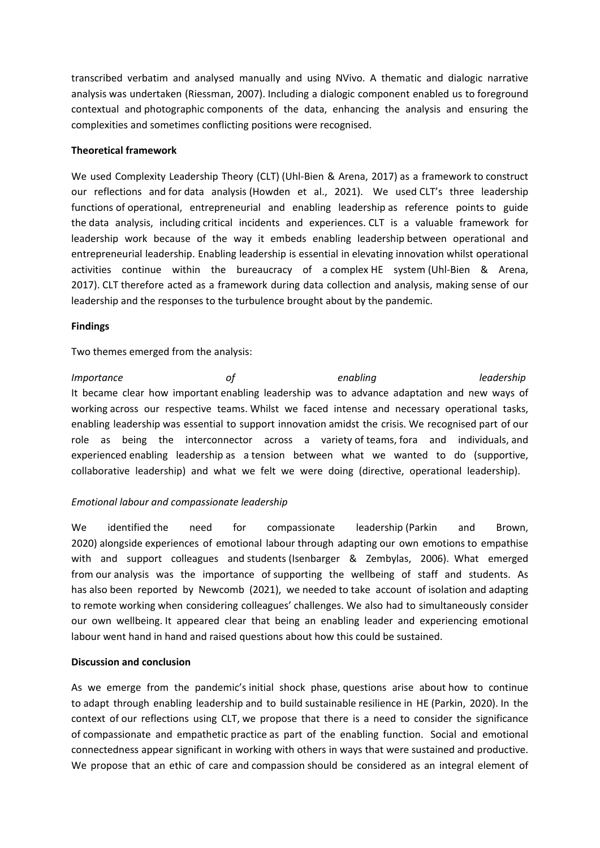transcribed verbatim and analysed manually and using NVivo. A thematic and dialogic narrative analysis was undertaken (Riessman, 2007). Including <sup>a</sup> dialogic component enabled us to foreground contextual and photographic components of the data, enhancing the analysis and ensuring the complexities and sometimes conflicting positions were recognised.

### **Theoretical framework**

We used Complexity Leadership Theory (CLT) (Uhl-Bien & Arena, 2017) as <sup>a</sup> framework to construct our reflections and for data analysis (Howden et al., 2021). We used CLT's three leadership functions of operational, entrepreneurial and enabling leadership as reference points to guide the data analysis, including critical incidents and experiences. CLT is <sup>a</sup> valuable framework for leadership work because of the way it embeds enabling leadership between operational and entrepreneurial leadership. Enabling leadership is essential in elevating innovation whilst operational activities continue within the bureaucracy of a complex HE system (Uhl-Bien & Arena, 2017). CLT therefore acted as <sup>a</sup> framework during data collection and analysis, making sense of our leadership and the responses to the turbulence brought about by the pandemic.

## **Findings**

Two themes emerged from the analysis:

*Importance of enabling leadership* It became clear how important enabling leadership was to advance adaptation and new ways of working across our respective teams. Whilst we faced intense and necessary operational tasks, enabling leadership was essential to support innovation amidst the crisis. We recognised part of our role as being the interconnector across <sup>a</sup> variety of teams, fora and individuals, and experienced enabling leadership as a tension between what we wanted to do (supportive, collaborative leadership) and what we felt we were doing (directive, operational leadership).

## *Emotional labour and compassionate leadership*

We identified the need for compassionate leadership (Parkin and Brown, 2020) alongside experiences of emotional labour through adapting our own emotions to empathise with and support colleagues and students (Isenbarger & Zembylas, 2006). What emerged from our analysis was the importance of supporting the wellbeing of staff and students. As has also been reported by Newcomb (2021), we needed to take account of isolation and adapting to remote working when considering colleagues' challenges. We also had to simultaneously consider our own wellbeing. It appeared clear that being an enabling leader and experiencing emotional labour went hand in hand and raised questions about how this could be sustained.

#### **Discussion and conclusion**

As we emerge from the pandemic's initial shock phase, questions arise about how to continue to adapt through enabling leadership and to build sustainable resilience in HE (Parkin, 2020). In the context of our reflections using CLT, we propose that there is <sup>a</sup> need to consider the significance of compassionate and empathetic practice as part of the enabling function. Social and emotional connectedness appear significant in working with others in ways that were sustained and productive. We propose that an ethic of care and compassion should be considered as an integral element of